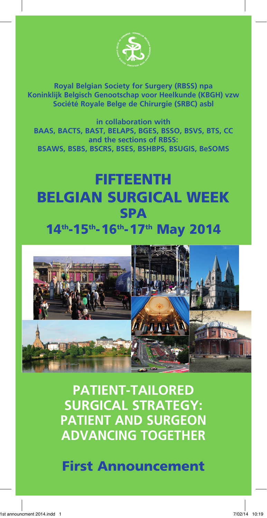

**Royal Belgian Society for Surgery (RBSS) npa Koninklijk Belgisch Genootschap voor Heelkunde (KBGH) vzw Société Royale Belge de Chirurgie (SRBC) asbl**

**in collaboration with BAAS, BACTS, BAST, BELAPS, BGES, BSSO, BSVS, BTS, CC and the sections of RBSS: BSAWS, BSBS, BSCRS, BSES, BSHBPS, BSUGIS, BeSOMS**

# FIFTEENTH BELGIAN SURGICAL WEEK **SPA** 14th-15th-16th-17th May 2014



**PATIENT-TAILORED SURGICAL STRATEGY: PATIENT AND SURGEON ADVANCING TOGETHER**

First Announcement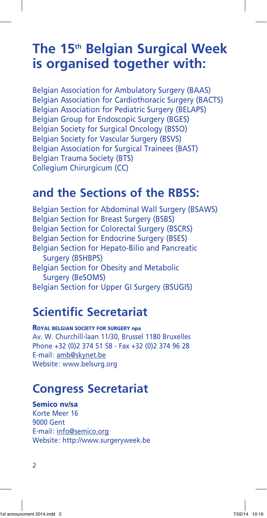# **The 15th Belgian Surgical Week is organised together with:**

Belgian Association for Ambulatory Surgery (BAAS) Belgian Association for Cardiothoracic Surgery (BACTS) Belgian Association for Pediatric Surgery (BELAPS) Belgian Group for Endoscopic Surgery (BGES) Belgian Society for Surgical Oncology (BSSO) Belgian Society for Vascular Surgery (BSVS) Belgian Association for Surgical Trainees (BAST) Belgian Trauma Society (BTS) Collegium Chirurgicum (CC)

## **and the Sections of the RBSS:**

Belgian Section for Abdominal Wall Surgery (BSAWS) Belgian Section for Breast Surgery (BSBS) Belgian Section for Colorectal Surgery (BSCRS) Belgian Section for Endocrine Surgery (BSES) Belgian Section for Hepato-Bilio and Pancreatic Surgery (BSHBPS) Belgian Section for Obesity and Metabolic Surgery (BeSOMS) Belgian Section for Upper GI Surgery (BSUGIS)

## **Scientific Secretariat**

ROYAL BELGIAN SOCIETY FOR SURGERY npa Av. W. Churchill-laan 11/30, Brussel 1180 Bruxelles Phone +32 (0)2 374 51 58 - Fax +32 (0)2 374 96 28 E-mail: amb@skynet.be Website: www.belsurg.org

## **Congress Secretariat**

### Semico nv/sa

Korte Meer 16 9000 Gent E-mail: info@semico.org Website: http://www.surgeryweek.be

2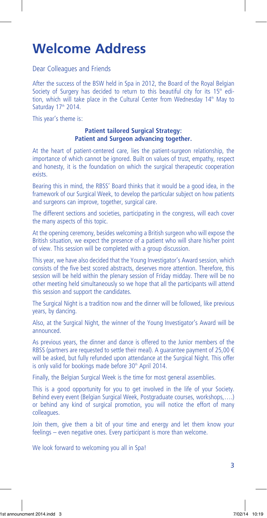# **Welcome Address**

Dear Colleagues and Friends

After the success of the BSW held in Spa in 2012, the Board of the Royal Belgian Society of Surgery has decided to return to this beautiful city for its  $15<sup>th</sup>$  edition, which will take place in the Cultural Center from Wednesday 14<sup>th</sup> May to Saturday 17<sup>th</sup> 2014.

This year's theme is:

#### **Patient tailored Surgical Strategy: Patient and Surgeon advancing together.**

At the heart of patient-centered care, lies the patient-surgeon relationship, the importance of which cannot be ignored. Built on values of trust, empathy, respect and honesty, it is the foundation on which the surgical therapeutic cooperation exists.

Bearing this in mind, the RBSS' Board thinks that it would be a good idea, in the framework of our Surgical Week, to develop the particular subject on how patients and surgeons can improve, together, surgical care.

The different sections and societies, participating in the congress, will each cover the many aspects of this topic.

At the opening ceremony, besides welcoming a British surgeon who will expose the British situation, we expect the presence of a patient who will share his/her point of view. This session will be completed with a group discussion.

This year, we have also decided that the Young Investigator's Award session, which consists of the five best scored abstracts, deserves more attention. Therefore, this session will be held within the plenary session of Friday midday. There will be no other meeting held simultaneously so we hope that all the participants will attend this session and support the candidates.

The Surgical Night is a tradition now and the dinner will be followed, like previous years, by dancing.

Also, at the Surgical Night, the winner of the Young Investigator's Award will be announced.

As previous years, the dinner and dance is offered to the Junior members of the RBSS (partners are requested to settle their meal). A quarantee payment of 25,00  $\in$ will be asked, but fully refunded upon attendance at the Surgical Night. This offer is only valid for bookings made before 30<sup>th</sup> April 2014.

Finally, the Belgian Surgical Week is the time for most general assemblies.

This is a good opportunity for you to get involved in the life of your Society. Behind every event (Belgian Surgical Week, Postgraduate courses, workshops,….) or behind any kind of surgical promotion, you will notice the effort of many colleagues.

Join them, give them a bit of your time and energy and let them know your feelings – even negative ones. Every participant is more than welcome.

We look forward to welcoming you all in Spa!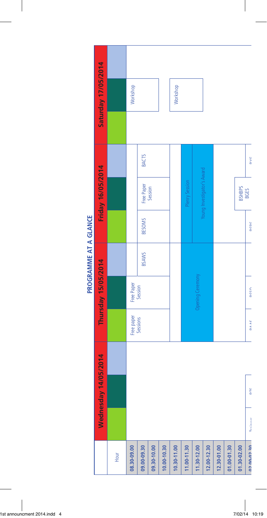

PROGRAMME AT A GLANCE

 $\overline{\phantom{a}}$ 

 $\overline{\phantom{a}}$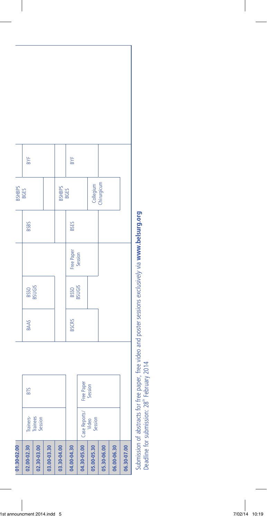

Deadline for submission:  $28^{\text{th}}$  February 2014

 $\overline{\phantom{a}}$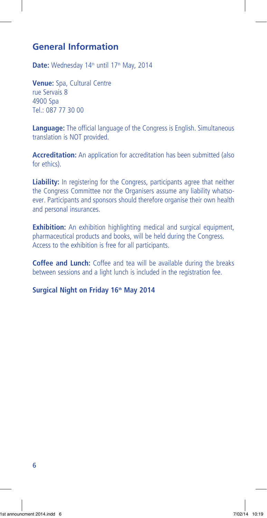## **General Information**

Date: Wednesday 14<sup>th</sup> until 17<sup>th</sup> May, 2014

**Venue:** Spa, Cultural Centre rue Servais 8 4900 Spa Tel.: 087 77 30 00

**Language:** The official language of the Congress is English. Simultaneous translation is NOT provided.

**Accreditation:** An application for accreditation has been submitted (also for ethics).

**Liability:** In registering for the Congress, participants agree that neither the Congress Committee nor the Organisers assume any liability whatsoever. Participants and sponsors should therefore organise their own health and personal insurances.

**Exhibition:** An exhibition highlighting medical and surgical equipment, pharmaceutical products and books, will be held during the Congress. Access to the exhibition is free for all participants.

**Coffee and Lunch:** Coffee and tea will be available during the breaks between sessions and a light lunch is included in the registration fee.

**Surgical Night on Friday 16th May 2014**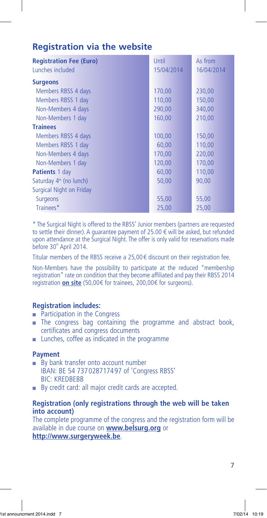## **Registration via the website**

| <b>Registration Fee (Euro)</b>      | Until      | As from    |
|-------------------------------------|------------|------------|
| Lunches included                    | 15/04/2014 | 16/04/2014 |
| <b>Surgeons</b>                     |            |            |
| Members RBSS 4 days                 | 170,00     | 230,00     |
| Members RBSS 1 day                  | 110,00     | 150,00     |
| Non-Members 4 days                  | 290,00     | 340,00     |
| Non-Members 1 day                   | 160,00     | 210,00     |
| <b>Trainees</b>                     |            |            |
| Members RBSS 4 days                 | 100,00     | 150,00     |
| Members RBSS 1 day                  | 60,00      | 110,00     |
| Non-Members 4 days                  | 170,00     | 220,00     |
| Non-Members 1 day                   | 120,00     | 170,00     |
| <b>Patients</b> 1 day               | 60,00      | 110,00     |
| Saturday 4 <sup>th</sup> (no lunch) | 50,00      | 90,00      |
| Surgical Night on Friday            |            |            |
| <b>Surgeons</b>                     | 55,00      | 55,00      |
| Trainees*                           | 25,00      | 25,00      |

\* The Surgical Night is offered to the RBSS' Junior members (partners are requested to settle their dinner). A guarantee payment of 25.00 € will be asked, but refunded upon attendance at the Surgical Night. The offer is only valid for reservations made before  $30<sup>th</sup>$  April 2014.

Titular members of the RBSS receive a 25,00€ discount on their registration fee.

Non-Members have the possibility to participate at the reduced "membership registration" rate on condition that they become affiliated and pay their RBSS 2014 registration **on site** (50,00€ for trainees, 200,00€ for surgeons).

### **Registration includes:**

- Participation in the Congress
- **n** The congress bag containing the programme and abstract book, certificates and congress documents
- **n** Lunches, coffee as indicated in the programme

#### **Payment**

- $\blacksquare$  By bank transfer onto account number IBAN: BE 54 737028717497 of 'Congress RBSS' BIC: KREDBEBB
- <sup>n</sup> By credit card: all major credit cards are accepted.

#### **Registration (only registrations through the web will be taken into account)**

The complete programme of the congress and the registration form will be available in due course on **www.belsurg.org** or **http://www.surgeryweek.be**.

7